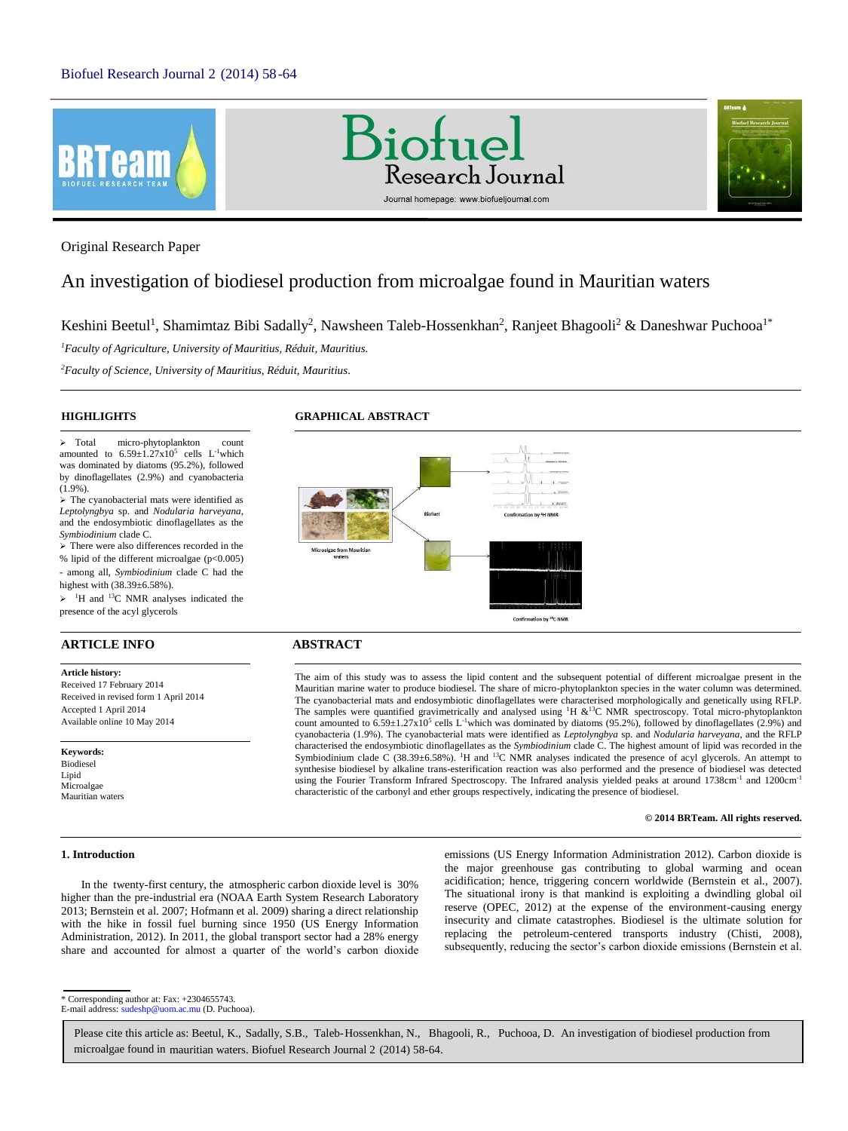





Original Research Paper

# An investigation of biodiesel production from microalgae found in Mauritian waters

Keshini Beetul<sup>1</sup>, Shamimtaz Bibi Sadally<sup>2</sup>, Nawsheen Taleb-Hossenkhan<sup>2</sup>, Ranjeet Bhagooli<sup>2</sup> & Daneshwar Puchooa<sup>1\*</sup>

*<sup>1</sup>Faculty of Agriculture, University of Mauritius, Réduit, Mauritius.*

*<sup>2</sup>Faculty of Science, University of Mauritius, Réduit, Mauritius.*

## **HIGHLIGHTS**

 Total micro-phytoplankton count amounted to  $6.59 \pm 1.27 \times 10^5$  cells L<sup>-1</sup>which was dominated by diatoms (95.2%), followed by dinoflagellates (2.9%) and cyanobacteria (1.9%).

 $\triangleright$  The cyanobacterial mats were identified as *Leptolyngbya* sp. and *Nodularia harveyana*, and the endosymbiotic dinoflagellates as the *Symbiodinium* clade C.

 $\geq$  There were also differences recorded in the % lipid of the different microalgae (p<0.005) - among all, *Symbiodinium* clade C had the

highest with (38.39±6.58%).

 $\geq$  <sup>1</sup>H and <sup>13</sup>C NMR analyses indicated the presence of the acyl glycerols

# **ARTICLE INFO ABSTRACT**

#### **Article history:**

Received 17 February 2014 Received in revised form 1 April 2014 Accepted 1 April 2014 Available online 10 May 2014

**Keywords:** Biodiesel Lipid Microalgae Mauritian waters

#### **1. Introduction**

In the twenty-first century, the atmospheric carbon dioxide level is 30% higher than the pre-industrial era (NOAA Earth System Research Laboratory 2013; Bernstein et al. 2007; Hofmann et al. 2009) sharing a direct relationship with the hike in fossil fuel burning since 1950 (US Energy Information Administration, 2012). In 2011, the global transport sector had a 28% energy

share and accounted for almost a quarter of the world's carbon dioxide

**GRAPHICAL ABSTRACT**



The aim of this study was to assess the lipid content and the subsequent potential of different microalgae present in the Mauritian marine water to produce biodiesel. The share of micro-phytoplankton species in the water column was determined. The cyanobacterial mats and endosymbiotic dinoflagellates were characterised morphologically and genetically using RFLP. The samples were quantified gravimetrically and analysed using  $H \& 13C NMR$  spectroscopy. Total micro-phytoplankton count amounted to  $6.59 \pm 1.27 \times 10^5$  cells L<sup>-1</sup>which was dominated by diatoms (95.2%), followed by dinoflagellates (2.9%) and cyanobacteria (1.9%). The cyanobacterial mats were identified as *Leptolyngbya* sp. and *Nodularia harveyana*, and the RFLP characterised the endosymbiotic dinoflagellates as the *Symbiodinium* clade C. The highest amount of lipid was recorded in the Symbiodinium clade C (38.39±6.58%). <sup>1</sup>H and <sup>13</sup>C NMR analyses indicated the presence of acyl glycerols. An attempt to synthesise biodiesel by alkaline trans-esterification reaction was also performed and the presence of biodiesel was detected using the Fourier Transform Infrared Spectroscopy. The Infrared analysis yielded peaks at around 1738cm<sup>-1</sup> and 1200cm<sup>-1</sup> characteristic of the carbonyl and ether groups respectively, indicating the presence of biodiesel.

### **© 2014 BRTeam. All rights reserved.**

emissions (US Energy Information Administration 2012). Carbon dioxide is the major greenhouse gas contributing to global warming and ocean acidification; hence, triggering concern worldwide (Bernstein et al., 2007). The situational irony is that mankind is exploiting a dwindling global oil reserve (OPEC, 2012) at the expense of the environment-causing energy insecurity and climate catastrophes. Biodiesel is the ultimate solution for replacing the petroleum-centered transports industry (Chisti, 2008), subsequently, reducing the sector's carbon dioxide emissions (Bernstein et al.

\* Corresponding author at: Fax: +2304655743. E-mail address: sudeshp@uom.ac.mu (D. Puchooa).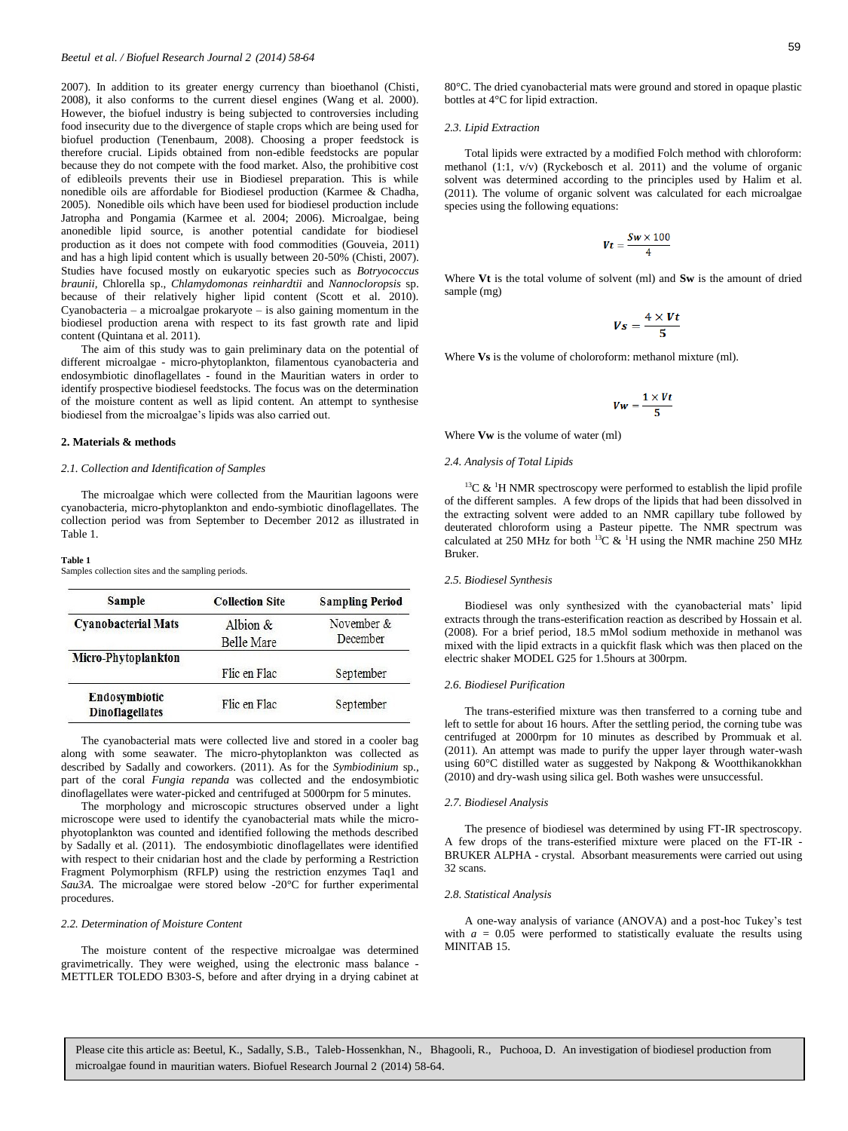2007). In addition to its greater energy currency than bioethanol (Chisti, 2008), it also conforms to the current diesel engines (Wang et al. 2000). However, the biofuel industry is being subjected to controversies including food insecurity due to the divergence of staple crops which are being used for biofuel production (Tenenbaum, 2008). Choosing a proper feedstock is therefore crucial. Lipids obtained from non-edible feedstocks are popular because they do not compete with the food market. Also, the prohibitive cost of edibleoils prevents their use in Biodiesel preparation. This is while nonedible oils are affordable for Biodiesel production (Karmee & Chadha, 2005). Nonedible oils which have been used for biodiesel production include Jatropha and Pongamia (Karmee et al. 2004; 2006). Microalgae, being anonedible lipid source, is another potential candidate for biodiesel production as it does not compete with food commodities (Gouveia, 2011) and has a high lipid content which is usually between 20-50% (Chisti, 2007). Studies have focused mostly on eukaryotic species such as *Botryococcus braunii,* Chlorella sp., *Chlamydomonas reinhardtii* and *Nannocloropsis* sp. because of their relatively higher lipid content (Scott et al. 2010). Cyanobacteria – a microalgae prokaryote – is also gaining momentum in the biodiesel production arena with respect to its fast growth rate and lipid content (Quintana et al. 2011).

The aim of this study was to gain preliminary data on the potential of different microalgae - micro-phytoplankton, filamentous cyanobacteria and endosymbiotic dinoflagellates - found in the Mauritian waters in order to identify prospective biodiesel feedstocks. The focus was on the determination of the moisture content as well as lipid content. An attempt to synthesise biodiesel from the microalgae's lipids was also carried out.

#### **2. Materials & methods**

#### *2.1. Collection and Identification of Samples*

The microalgae which were collected from the Mauritian lagoons were cyanobacteria, micro-phytoplankton and endo-symbiotic dinoflagellates. The collection period was from September to December 2012 as illustrated in Table 1.

#### **Table 1**

Samples collection sites and the sampling periods.

| <b>Sample</b>                           | <b>Collection Site</b> | <b>Sampling Period</b> |
|-----------------------------------------|------------------------|------------------------|
| <b>Cyanobacterial Mats</b>              | Albion $\&$            | November $\&$          |
|                                         | <b>Belle Mare</b>      | December               |
| Micro-Phytoplankton                     |                        |                        |
|                                         | Flic en Flac           | September              |
| Endosymbiotic<br><b>Dinoflagellates</b> | Flic en Flac           | September              |

The cyanobacterial mats were collected live and stored in a cooler bag along with some seawater. The micro-phytoplankton was collected as described by Sadally and coworkers. (2011). As for the *Symbiodinium* sp., part of the coral *Fungia repanda* was collected and the endosymbiotic dinoflagellates were water-picked and centrifuged at 5000rpm for 5 minutes.

The morphology and microscopic structures observed under a light microscope were used to identify the cyanobacterial mats while the microphyotoplankton was counted and identified following the methods described by Sadally et al. (2011). The endosymbiotic dinoflagellates were identified with respect to their cnidarian host and the clade by performing a Restriction Fragment Polymorphism (RFLP) using the restriction enzymes Taq1 and *Sau3A*. The microalgae were stored below -20°C for further experimental procedures.

#### *2.2. Determination of Moisture Content*

The moisture content of the respective microalgae was determined gravimetrically. They were weighed, using the electronic mass balance - METTLER TOLEDO B303-S, before and after drying in a drying cabinet at

80°C. The dried cyanobacterial mats were ground and stored in opaque plastic bottles at 4°C for lipid extraction.

#### *2.3. Lipid Extraction*

Total lipids were extracted by a modified Folch method with chloroform: methanol  $(1:1, v/v)$  (Ryckebosch et al. 2011) and the volume of organic solvent was determined according to the principles used by Halim et al. (2011). The volume of organic solvent was calculated for each microalgae species using the following equations:

$$
Vt=\frac{Sw\times 100}{4}
$$

Where **Vt** is the total volume of solvent (ml) and **Sw** is the amount of dried sample (mg)

$$
Vs=\frac{4\times Vt}{5}
$$

Where **Vs** is the volume of choloroform: methanol mixture (ml).

$$
\textit{Vw} = \frac{1 \times \textit{Vt}}{5}
$$

Where **Vw** is the volume of water (ml)

#### *2.4. Analysis of Total Lipids*

 $13C$  & <sup>1</sup>H NMR spectroscopy were performed to establish the lipid profile of the different samples. A few drops of the lipids that had been dissolved in the extracting solvent were added to an NMR capillary tube followed by deuterated chloroform using a Pasteur pipette. The NMR spectrum was calculated at 250 MHz for both <sup>13</sup>C  $\&$  <sup>1</sup>H using the NMR machine 250 MHz Bruker.

#### *2.5. Biodiesel Synthesis*

Biodiesel was only synthesized with the cyanobacterial mats' lipid extracts through the trans-esterification reaction as described by Hossain et al. (2008). For a brief period, 18.5 mMol sodium methoxide in methanol was mixed with the lipid extracts in a quickfit flask which was then placed on the electric shaker MODEL G25 for 1.5hours at 300rpm.

#### *2.6. Biodiesel Purification*

The trans-esterified mixture was then transferred to a corning tube and left to settle for about 16 hours. After the settling period, the corning tube was centrifuged at 2000rpm for 10 minutes as described by Prommuak et al. (2011). An attempt was made to purify the upper layer through water-wash using 60°C distilled water as suggested by Nakpong & Wootthikanokkhan (2010) and dry-wash using silica gel. Both washes were unsuccessful.

#### *2.7. Biodiesel Analysis*

The presence of biodiesel was determined by using FT-IR spectroscopy. A few drops of the trans-esterified mixture were placed on the FT-IR - BRUKER ALPHA - crystal. Absorbant measurements were carried out using 32 scans.

#### *2.8. Statistical Analysis*

A one-way analysis of variance (ANOVA) and a post-hoc Tukey's test with  $a = 0.05$  were performed to statistically evaluate the results using MINITAB 15.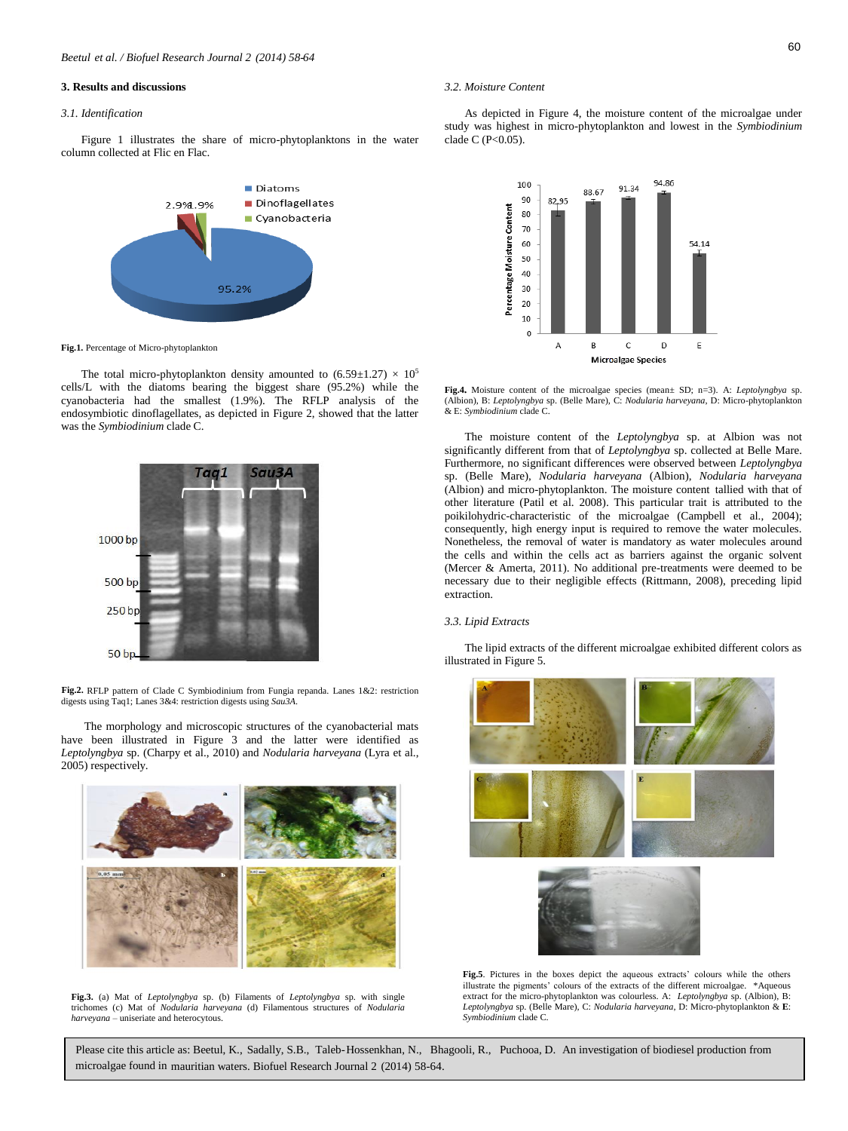#### **3. Results and discussions**

#### *3.1. Identification*

Figure 1 illustrates the share of micro-phytoplanktons in the water column collected at Flic en Flac.



**Fig.1.** Percentage of Micro-phytoplankton

The total micro-phytoplankton density amounted to  $(6.59 \pm 1.27) \times 10^5$ cells/L with the diatoms bearing the biggest share (95.2%) while the cyanobacteria had the smallest (1.9%). The RFLP analysis of the endosymbiotic dinoflagellates, as depicted in Figure 2, showed that the latter was the *Symbiodinium* clade C.



Fig.2. RFLP pattern of Clade C Symbiodinium from Fungia repanda. Lanes 1&2: restriction digests using Taq1; Lanes 3&4: restriction digests using *Sau3A*.

The morphology and microscopic structures of the cyanobacterial mats have been illustrated in Figure 3 and the latter were identified as *Leptolyngbya* sp. (Charpy et al., 2010) and *Nodularia harveyana* (Lyra et al., 2005) respectively.



**Fig.3.** (a) Mat of *Leptolyngbya* sp. (b) Filaments of *Leptolyngbya* sp. with single trichomes (c) Mat of *Nodularia harveyana* (d) Filamentous structures of *Nodularia harveyana* – uniseriate and heterocytous.

#### *3.2. Moisture Content*

As depicted in Figure 4, the moisture content of the microalgae under study was highest in micro-phytoplankton and lowest in the *Symbiodinium* clade C  $(P<0.05)$ .



**Fig.4.** Moisture content of the microalgae species (mean± SD; n=3). A: *Leptolyngbya* sp. (Albion), B: *Leptolyngbya* sp. (Belle Mare), C: *Nodularia harveyana*, D: Micro-phytoplankton & E: *Symbiodinium* clade C.

The moisture content of the *Leptolyngbya* sp. at Albion was not significantly different from that of *Leptolyngbya* sp. collected at Belle Mare. Furthermore, no significant differences were observed between *Leptolyngbya* sp. (Belle Mare), *Nodularia harveyana* (Albion), *Nodularia harveyana* (Albion) and micro-phytoplankton. The moisture content tallied with that of other literature (Patil et al. 2008). This particular trait is attributed to the poikilohydric-characteristic of the microalgae (Campbell et al., 2004); consequently, high energy input is required to remove the water molecules. Nonetheless, the removal of water is mandatory as water molecules around the cells and within the cells act as barriers against the organic solvent (Mercer & Amerta, 2011). No additional pre-treatments were deemed to be necessary due to their negligible effects (Rittmann, 2008), preceding lipid extraction.

#### *3.3. Lipid Extracts*

The lipid extracts of the different microalgae exhibited different colors as illustrated in Figure 5.



**Fig.5**. Pictures in the boxes depict the aqueous extracts' colours while the others illustrate the pigments' colours of the extracts of the different microalgae. \*Aqueous extract for the micro-phytoplankton was colourless. A: *Leptolyngbya* sp. (Albion), B: *Leptolyngbya* sp. (Belle Mare), C: *Nodularia harveyana*, D: Micro-phytoplankton & **E**: *Symbiodinium* clade C.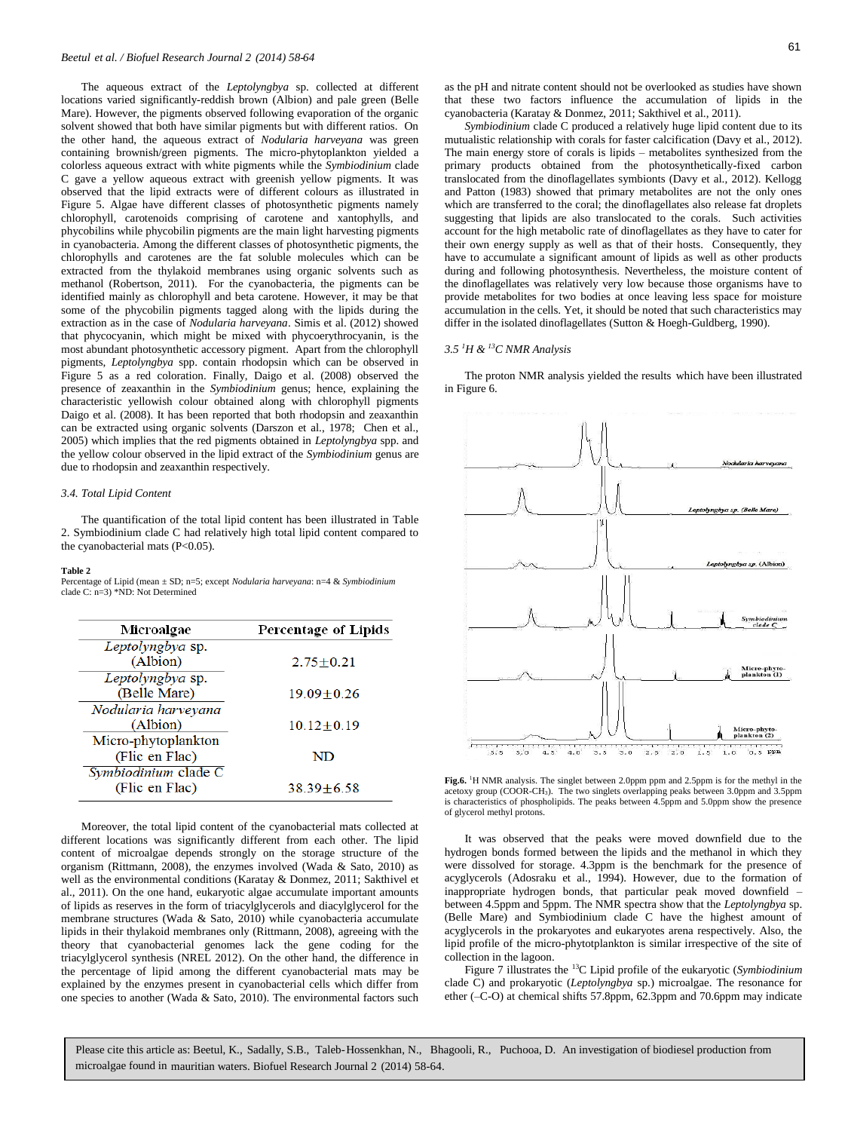The aqueous extract of the *Leptolyngbya* sp. collected at different locations varied significantly-reddish brown (Albion) and pale green (Belle Mare). However, the pigments observed following evaporation of the organic solvent showed that both have similar pigments but with different ratios. On the other hand, the aqueous extract of *Nodularia harveyana* was green containing brownish/green pigments. The micro-phytoplankton yielded a colorless aqueous extract with white pigments while the *Symbiodinium* clade C gave a yellow aqueous extract with greenish yellow pigments. It was observed that the lipid extracts were of different colours as illustrated in Figure 5. Algae have different classes of photosynthetic pigments namely chlorophyll, carotenoids comprising of carotene and xantophylls, and phycobilins while phycobilin pigments are the main light harvesting pigments in cyanobacteria. Among the different classes of photosynthetic pigments, the chlorophylls and carotenes are the fat soluble molecules which can be extracted from the thylakoid membranes using organic solvents such as methanol (Robertson, 2011). For the cyanobacteria, the pigments can be identified mainly as chlorophyll and beta carotene. However, it may be that some of the phycobilin pigments tagged along with the lipids during the extraction as in the case of *Nodularia harveyana*. Simis et al. (2012) showed that phycocyanin, which might be mixed with phycoerythrocyanin, is the most abundant photosynthetic accessory pigment. Apart from the chlorophyll pigments, *Leptolyngbya* spp. contain rhodopsin which can be observed in Figure 5 as a red coloration. Finally, Daigo et al. (2008) observed the presence of zeaxanthin in the *Symbiodinium* genus; hence, explaining the characteristic yellowish colour obtained along with chlorophyll pigments Daigo et al. (2008). It has been reported that both rhodopsin and zeaxanthin can be extracted using organic solvents (Darszon et al., 1978; Chen et al., 2005) which implies that the red pigments obtained in *Leptolyngbya* spp. and the yellow colour observed in the lipid extract of the *Symbiodinium* genus are due to rhodopsin and zeaxanthin respectively.

#### *3.4. Total Lipid Content*

The quantification of the total lipid content has been illustrated in Table 2. Symbiodinium clade C had relatively high total lipid content compared to the cyanobacterial mats (P<0.05).

#### **Table 2**

Percentage of Lipid (mean ± SD; n=5; except *Nodularia harveyana*: n=4 & *Symbiodinium* clade C: n=3) \*ND: Not Determined

| Microalgae           | Percentage of Lipids |
|----------------------|----------------------|
| Leptolyngbya sp.     |                      |
| (Albion)             | $2.75 + 0.21$        |
| Leptolyngbya sp.     |                      |
| (Belle Mare)         | $19.09 \pm 0.26$     |
| Nodularia harveyana  |                      |
| (Albion)             | $10.12 \pm 0.19$     |
| Micro-phytoplankton  |                      |
| (Flic en Flac)       | ND                   |
| Symbiodinium clade C |                      |
| (Flic en Flac)       | 38.39+6.58           |

Moreover, the total lipid content of the cyanobacterial mats collected at different locations was significantly different from each other. The lipid content of microalgae depends strongly on the storage structure of the organism (Rittmann, 2008), the enzymes involved (Wada & Sato, 2010) as well as the environmental conditions (Karatay & Donmez, 2011; Sakthivel et al., 2011). On the one hand, eukaryotic algae accumulate important amounts of lipids as reserves in the form of triacylglycerols and diacylglycerol for the membrane structures (Wada & Sato, 2010) while cyanobacteria accumulate lipids in their thylakoid membranes only (Rittmann, 2008), agreeing with the theory that cyanobacterial genomes lack the gene coding for the triacylglycerol synthesis (NREL 2012). On the other hand, the difference in the percentage of lipid among the different cyanobacterial mats may be explained by the enzymes present in cyanobacterial cells which differ from one species to another (Wada & Sato, 2010). The environmental factors such

as the pH and nitrate content should not be overlooked as studies have shown that these two factors influence the accumulation of lipids in the cyanobacteria (Karatay & Donmez, 2011; Sakthivel et al., 2011).

*Symbiodinium* clade C produced a relatively huge lipid content due to its mutualistic relationship with corals for faster calcification (Davy et al., 2012). The main energy store of corals is lipids – metabolites synthesized from the primary products obtained from the photosynthetically-fixed carbon translocated from the dinoflagellates symbionts (Davy et al., 2012). Kellogg and Patton (1983) showed that primary metabolites are not the only ones which are transferred to the coral; the dinoflagellates also release fat droplets suggesting that lipids are also translocated to the corals. Such activities account for the high metabolic rate of dinoflagellates as they have to cater for their own energy supply as well as that of their hosts. Consequently, they have to accumulate a significant amount of lipids as well as other products during and following photosynthesis. Nevertheless, the moisture content of the dinoflagellates was relatively very low because those organisms have to provide metabolites for two bodies at once leaving less space for moisture accumulation in the cells. Yet, it should be noted that such characteristics may differ in the isolated dinoflagellates (Sutton & Hoegh-Guldberg, 1990).

#### *3.5 <sup>1</sup>H & <sup>13</sup>C NMR Analysis*

The proton NMR analysis yielded the results which have been illustrated in Figure 6.





It was observed that the peaks were moved downfield due to the hydrogen bonds formed between the lipids and the methanol in which they were dissolved for storage. 4.3ppm is the benchmark for the presence of acyglycerols (Adosraku et al., 1994). However, due to the formation of inappropriate hydrogen bonds, that particular peak moved downfield – between 4.5ppm and 5ppm. The NMR spectra show that the *Leptolyngbya* sp. (Belle Mare) and Symbiodinium clade C have the highest amount of acyglycerols in the prokaryotes and eukaryotes arena respectively. Also, the lipid profile of the micro-phytotplankton is similar irrespective of the site of collection in the lagoon.

Figure 7 illustrates the <sup>13</sup>C Lipid profile of the eukaryotic (*Symbiodinium*  clade C) and prokaryotic (*Leptolyngbya* sp.) microalgae. The resonance for ether (–C-O) at chemical shifts 57.8ppm, 62.3ppm and 70.6ppm may indicate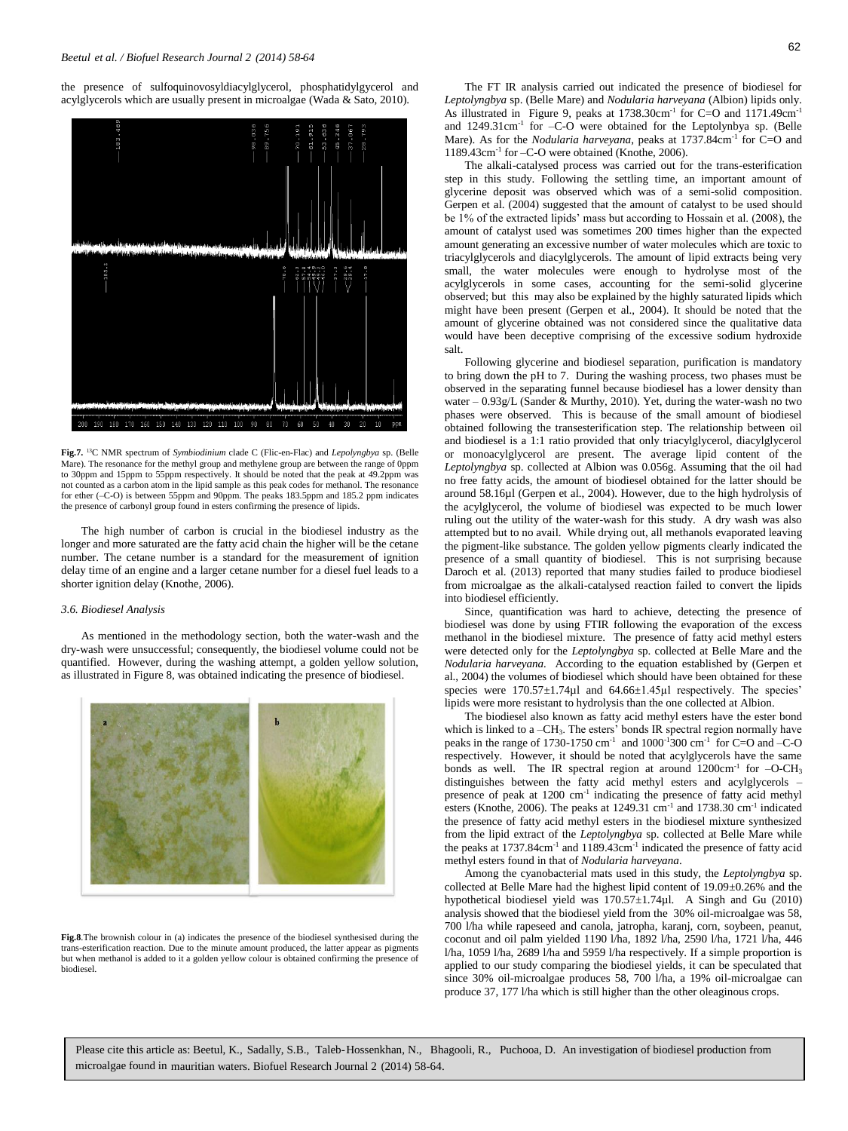the presence of sulfoquinovosyldiacylglycerol, phosphatidylgycerol and acylglycerols which are usually present in microalgae (Wada & Sato, 2010).



**Fig.7.** <sup>13</sup>C NMR spectrum of *Symbiodinium* clade C (Flic-en-Flac) and *Lepolyngbya* sp. (Belle Mare). The resonance for the methyl group and methylene group are between the range of 0ppm to 30ppm and 15ppm to 55ppm respectively. It should be noted that the peak at 49.2ppm was not counted as a carbon atom in the lipid sample as this peak codes for methanol. The resonance for ether (–C-O) is between 55ppm and 90ppm. The peaks 183.5ppm and 185.2 ppm indicates the presence of carbonyl group found in esters confirming the presence of lipids.

The high number of carbon is crucial in the biodiesel industry as the longer and more saturated are the fatty acid chain the higher will be the cetane number. The cetane number is a standard for the measurement of ignition delay time of an engine and a larger cetane number for a diesel fuel leads to a shorter ignition delay (Knothe, 2006).

### *3.6. Biodiesel Analysis*

As mentioned in the methodology section, both the water-wash and the dry-wash were unsuccessful; consequently, the biodiesel volume could not be quantified. However, during the washing attempt, a golden yellow solution, as illustrated in Figure 8, was obtained indicating the presence of biodiesel.



**Fig.8**.The brownish colour in (a) indicates the presence of the biodiesel synthesised during the trans-esterification reaction. Due to the minute amount produced, the latter appear as pigments but when methanol is added to it a golden yellow colour is obtained confirming the presence of biodiesel.

The FT IR analysis carried out indicated the presence of biodiesel for *Leptolyngbya* sp. (Belle Mare) and *Nodularia harveyana* (Albion) lipids only. As illustrated in Figure 9, peaks at 1738.30cm<sup>-1</sup> for C=O and 1171.49cm<sup>-1</sup> and 1249.31cm<sup>-1</sup> for -C-O were obtained for the Leptolynbya sp. (Belle Mare). As for the *Nodularia harveyana*, peaks at 1737.84cm<sup>-1</sup> for C=O and 1189.43cm-1 for –C-O were obtained (Knothe, 2006).

The alkali-catalysed process was carried out for the trans-esterification step in this study. Following the settling time, an important amount of glycerine deposit was observed which was of a semi-solid composition. Gerpen et al. (2004) suggested that the amount of catalyst to be used should be 1% of the extracted lipids' mass but according to Hossain et al. (2008), the amount of catalyst used was sometimes 200 times higher than the expected amount generating an excessive number of water molecules which are toxic to triacylglycerols and diacylglycerols. The amount of lipid extracts being very small, the water molecules were enough to hydrolyse most of the acylglycerols in some cases, accounting for the semi-solid glycerine observed; but this may also be explained by the highly saturated lipids which might have been present (Gerpen et al., 2004). It should be noted that the amount of glycerine obtained was not considered since the qualitative data would have been deceptive comprising of the excessive sodium hydroxide salt.

Following glycerine and biodiesel separation, purification is mandatory to bring down the pH to 7. During the washing process, two phases must be observed in the separating funnel because biodiesel has a lower density than water – 0.93g/L (Sander & Murthy, 2010). Yet, during the water-wash no two phases were observed. This is because of the small amount of biodiesel obtained following the transesterification step. The relationship between oil and biodiesel is a 1:1 ratio provided that only triacylglycerol, diacylglycerol or monoacylglycerol are present. The average lipid content of the *Leptolyngbya* sp. collected at Albion was 0.056g. Assuming that the oil had no free fatty acids, the amount of biodiesel obtained for the latter should be around 58.16µl (Gerpen et al., 2004). However, due to the high hydrolysis of the acylglycerol, the volume of biodiesel was expected to be much lower ruling out the utility of the water-wash for this study. A dry wash was also attempted but to no avail. While drying out, all methanols evaporated leaving the pigment-like substance. The golden yellow pigments clearly indicated the presence of a small quantity of biodiesel. This is not surprising because Daroch et al. (2013) reported that many studies failed to produce biodiesel from microalgae as the alkali-catalysed reaction failed to convert the lipids into biodiesel efficiently.

Since, quantification was hard to achieve, detecting the presence of biodiesel was done by using FTIR following the evaporation of the excess methanol in the biodiesel mixture. The presence of fatty acid methyl esters were detected only for the *Leptolyngbya* sp. collected at Belle Mare and the *Nodularia harveyana.* According to the equation established by (Gerpen et al., 2004) the volumes of biodiesel which should have been obtained for these species were  $170.57 \pm 1.74 \mu$ l and  $64.66 \pm 1.45 \mu$ l respectively. The species' lipids were more resistant to hydrolysis than the one collected at Albion.

The biodiesel also known as fatty acid methyl esters have the ester bond which is linked to a -CH<sub>3</sub>. The esters' bonds IR spectral region normally have peaks in the range of 1730-1750  $\text{cm}^{-1}$  and 1000<sup>-1</sup>300  $\text{cm}^{-1}$  for C=O and -C-O respectively. However, it should be noted that acylglycerols have the same bonds as well. The IR spectral region at around  $1200 \text{cm}^{-1}$  for  $-\text{O-CH}_3$ distinguishes between the fatty acid methyl esters and acylglycerols – presence of peak at 1200 cm<sup>-1</sup> indicating the presence of fatty acid methyl esters (Knothe, 2006). The peaks at  $1249.31 \text{ cm}^{-1}$  and  $1738.30 \text{ cm}^{-1}$  indicated the presence of fatty acid methyl esters in the biodiesel mixture synthesized from the lipid extract of the *Leptolyngbya* sp. collected at Belle Mare while the peaks at 1737.84cm<sup>-1</sup> and 1189.43cm<sup>-1</sup> indicated the presence of fatty acid methyl esters found in that of *Nodularia harveyana*.

Among the cyanobacterial mats used in this study, the *Leptolyngbya* sp. collected at Belle Mare had the highest lipid content of 19.09±0.26% and the hypothetical biodiesel yield was 170.57±1.74µl. A Singh and Gu (2010) analysis showed that the biodiesel yield from the 30% oil-microalgae was 58, 700 l/ha while rapeseed and canola, jatropha, karanj, corn, soybeen, peanut, coconut and oil palm yielded 1190 l/ha, 1892 l/ha, 2590 l/ha, 1721 l/ha, 446 l/ha, 1059 l/ha, 2689 l/ha and 5959 l/ha respectively. If a simple proportion is applied to our study comparing the biodiesel yields, it can be speculated that since 30% oil-microalgae produces 58, 700 l/ha, a 19% oil-microalgae can produce 37, 177 l/ha which is still higher than the other oleaginous crops.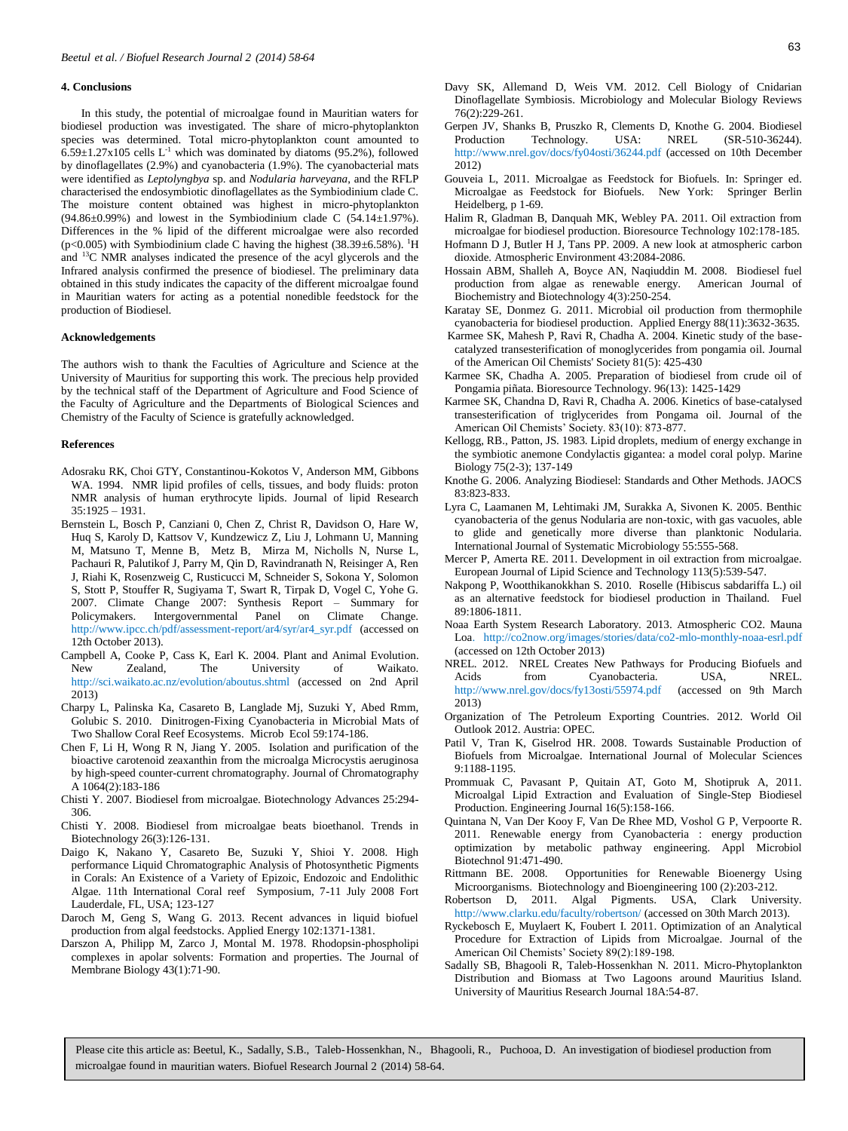#### **4. Conclusions**

In this study, the potential of microalgae found in Mauritian waters for biodiesel production was investigated. The share of micro-phytoplankton species was determined. Total micro-phytoplankton count amounted to  $6.59\pm1.27x105$  cells L<sup>-1</sup> which was dominated by diatoms (95.2%), followed by dinoflagellates (2.9%) and cyanobacteria (1.9%). The cyanobacterial mats were identified as *Leptolyngbya* sp. and *Nodularia harveyana*, and the RFLP characterised the endosymbiotic dinoflagellates as the Symbiodinium clade C. The moisture content obtained was highest in micro-phytoplankton  $(94.86\pm0.99\%)$  and lowest in the Symbiodinium clade C  $(54.14\pm1.97\%)$ . Differences in the % lipid of the different microalgae were also recorded (p<0.005) with Symbiodinium clade C having the highest  $(38.39 \pm 6.58\%)$ . <sup>1</sup>H and <sup>13</sup>C NMR analyses indicated the presence of the acyl glycerols and the Infrared analysis confirmed the presence of biodiesel. The preliminary data obtained in this study indicates the capacity of the different microalgae found in Mauritian waters for acting as a potential nonedible feedstock for the production of Biodiesel.

#### **Acknowledgements**

The authors wish to thank the Faculties of Agriculture and Science at the University of Mauritius for supporting this work. The precious help provided by the technical staff of the Department of Agriculture and Food Science of the Faculty of Agriculture and the Departments of Biological Sciences and Chemistry of the Faculty of Science is gratefully acknowledged.

#### **References**

- Adosraku RK, Choi GTY, Constantinou-Kokotos V, Anderson MM, Gibbons WA. 1994. NMR lipid profiles of cells, tissues, and body fluids: proton NMR analysis of human erythrocyte lipids. Journal of lipid Research  $35.1925 - 1931$
- Bernstein L, Bosch P, Canziani 0, Chen Z, Christ R, Davidson O, Hare W, Huq S, Karoly D, Kattsov V, Kundzewicz Z, Liu J, Lohmann U, Manning M, Matsuno T, Menne B, Metz B, Mirza M, Nicholls N, Nurse L, Pachauri R, Palutikof J, Parry M, Qin D, Ravindranath N, Reisinger A, Ren J, Riahi K, Rosenzweig C, Rusticucci M, Schneider S, Sokona Y, Solomon S, Stott P, Stouffer R, Sugiyama T, Swart R, Tirpak D, Vogel C, Yohe G. 2007. Climate Change 2007: Synthesis Report – Summary for Policymakers. Intergovernmental Panel on Climate Change. http://www.ipcc.ch/pdf/assessment-report/ar4/syr/ar4\_syr.pdf (accessed on 12th October 2013).
- Campbell A, Cooke P, Cass K, Earl K. 2004. Plant and Animal Evolution. New Zealand, The University of Waikato. http://sci.waikato.ac.nz/evolution/aboutus.shtml (accessed on 2nd April 2013)
- Charpy L, Palinska Ka, Casareto B, Langlade Mj, Suzuki Y, Abed Rmm, Golubic S. 2010. Dinitrogen-Fixing Cyanobacteria in Microbial Mats of Two Shallow Coral Reef Ecosystems. Microb Ecol 59:174-186.
- Chen F, Li H, Wong R N, Jiang Y. 2005. Isolation and purification of the bioactive carotenoid zeaxanthin from the microalga Microcystis aeruginosa by high-speed counter-current chromatography. Journal of Chromatography A 1064(2):183-186
- Chisti Y. 2007. Biodiesel from microalgae. Biotechnology Advances 25:294- 306.
- Chisti Y. 2008. Biodiesel from microalgae beats bioethanol. Trends in Biotechnology 26(3):126-131.
- Daigo K, Nakano Y, Casareto Be, Suzuki Y, Shioi Y. 2008. High performance Liquid Chromatographic Analysis of Photosynthetic Pigments in Corals: An Existence of a Variety of Epizoic, Endozoic and Endolithic Algae. 11th International Coral reef Symposium, 7-11 July 2008 Fort Lauderdale, FL, USA; 123-127
- Daroch M, Geng S, Wang G. 2013. Recent advances in liquid biofuel production from algal feedstocks. Applied Energy 102:1371-1381.
- Darszon A, Philipp M, Zarco J, Montal M. 1978. Rhodopsin-phospholipi complexes in apolar solvents: Formation and properties. The Journal of Membrane Biology 43(1):71-90.
- Davy SK, Allemand D, Weis VM. 2012. Cell Biology of Cnidarian Dinoflagellate Symbiosis. Microbiology and Molecular Biology Reviews 76(2):229-261.
- Gerpen JV, Shanks B, Pruszko R, Clements D, Knothe G. 2004. Biodiesel Production Technology. USA: NREL (SR-510-36244). http://www.nrel.gov/docs/fy04osti/36244.pdf (accessed on 10th December 2012)
- Gouveia L, 2011. Microalgae as Feedstock for Biofuels. In: Springer ed. Microalgae as Feedstock for Biofuels. New York: Springer Berlin Heidelberg, p 1-69.
- Halim R, Gladman B, Danquah MK, Webley PA. 2011. Oil extraction from microalgae for biodiesel production. Bioresource Technology 102:178-185.
- Hofmann D J, Butler H J, Tans PP. 2009. A new look at atmospheric carbon dioxide. Atmospheric Environment 43:2084-2086.
- Hossain ABM, Shalleh A, Boyce AN, Naqiuddin M. 2008. Biodiesel fuel production from algae as renewable energy. American Journal of Biochemistry and Biotechnology 4(3):250-254.
- Karatay SE, Donmez G. 2011. Microbial oil production from thermophile cyanobacteria for biodiesel production. Applied Energy 88(11):3632-3635.
- Karmee SK, Mahesh P, Ravi R, Chadha A. 2004. Kinetic study of the basecatalyzed transesterification of monoglycerides from pongamia oil. Journal of the American Oil Chemists' Society 81(5): 425-430
- Karmee SK, Chadha A. 2005. Preparation of biodiesel from crude oil of Pongamia piñata. Bioresource Technology. 96(13): 1425-1429
- Karmee SK, Chandna D, Ravi R, Chadha A. 2006. Kinetics of base-catalysed transesterification of triglycerides from Pongama oil. Journal of the American Oil Chemists' Society. 83(10): 873-877.
- Kellogg, RB., Patton, JS. 1983. Lipid droplets, medium of energy exchange in the symbiotic anemone Condylactis gigantea: a model coral polyp. Marine Biology 75(2-3); 137-149
- Knothe G. 2006. Analyzing Biodiesel: Standards and Other Methods. JAOCS 83:823-833.
- Lyra C, Laamanen M, Lehtimaki JM, Surakka A, Sivonen K. 2005. Benthic cyanobacteria of the genus Nodularia are non-toxic, with gas vacuoles, able to glide and genetically more diverse than planktonic Nodularia. International Journal of Systematic Microbiology 55:555-568.
- Mercer P, Amerta RE. 2011. Development in oil extraction from microalgae. European Journal of Lipid Science and Technology 113(5):539-547.
- Nakpong P, Wootthikanokkhan S. 2010. Roselle (Hibiscus sabdariffa L.) oil as an alternative feedstock for biodiesel production in Thailand. Fuel 89:1806-1811.
- Noaa Earth System Research Laboratory. 2013. Atmospheric CO2. Mauna Loa. http://co2now.org/images/stories/data/co2-mlo-monthly-noaa-esrl.pdf (accessed on 12th October 2013)
- NREL. 2012. NREL Creates New Pathways for Producing Biofuels and Acids from Cyanobacteria. USA, NREL. http://www.nrel.gov/docs/fy13osti/55974.pdf (accessed on 9th March 2013)
- Organization of The Petroleum Exporting Countries. 2012. World Oil Outlook 2012. Austria: OPEC.
- Patil V, Tran K, Giselrod HR. 2008. Towards Sustainable Production of Biofuels from Microalgae. International Journal of Molecular Sciences 9:1188-1195.
- Prommuak C, Pavasant P, Quitain AT, Goto M, Shotipruk A, 2011. Microalgal Lipid Extraction and Evaluation of Single-Step Biodiesel Production. Engineering Journal 16(5):158-166.
- Quintana N, Van Der Kooy F, Van De Rhee MD, Voshol G P, Verpoorte R. 2011. Renewable energy from Cyanobacteria : energy production optimization by metabolic pathway engineering. Appl Microbiol Biotechnol 91:471-490.
- Rittmann BE. 2008. Opportunities for Renewable Bioenergy Using Microorganisms. Biotechnology and Bioengineering 100 (2):203-212.
- Robertson D, 2011. Algal Pigments. USA, Clark University. http://www.clarku.edu/faculty/robertson/ (accessed on 30th March 2013).
- Ryckebosch E, Muylaert K, Foubert I. 2011. Optimization of an Analytical Procedure for Extraction of Lipids from Microalgae. Journal of the American Oil Chemists' Society 89(2):189-198.
- Sadally SB, Bhagooli R, Taleb-Hossenkhan N. 2011. Micro-Phytoplankton Distribution and Biomass at Two Lagoons around Mauritius Island. University of Mauritius Research Journal 18A:54-87.